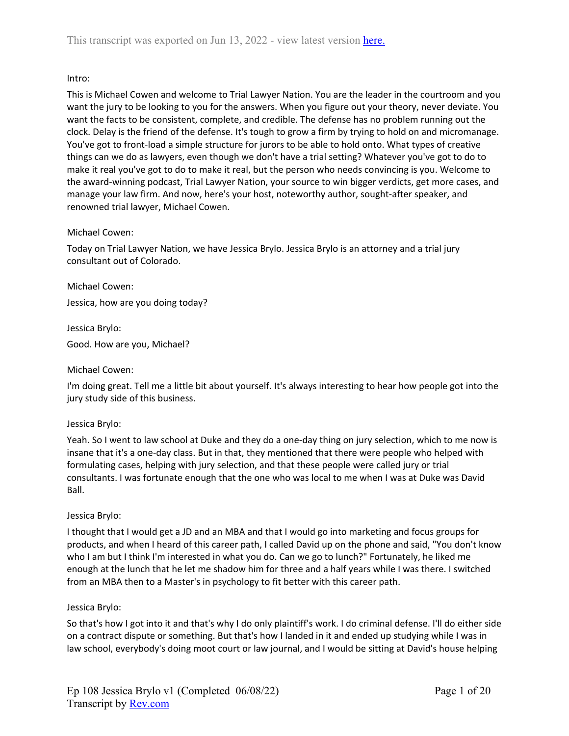# Intro:

This is Michael Cowen and welcome to Trial Lawyer Nation. You are the leader in the courtroom and you want the jury to be looking to you for the answers. When you figure out your theory, never deviate. You want the facts to be consistent, complete, and credible. The defense has no problem running out the clock. Delay is the friend of the defense. It's tough to grow a firm by trying to hold on and micromanage. You've got to front-load a simple structure for jurors to be able to hold onto. What types of creative things can we do as lawyers, even though we don't have a trial setting? Whatever you've got to do to make it real you've got to do to make it real, but the person who needs convincing is you. Welcome to the award-winning podcast, Trial Lawyer Nation, your source to win bigger verdicts, get more cases, and manage your law firm. And now, here's your host, noteworthy author, sought-after speaker, and renowned trial lawyer, Michael Cowen.

# Michael Cowen:

Today on Trial Lawyer Nation, we have Jessica Brylo. Jessica Brylo is an attorney and a trial jury consultant out of Colorado.

Michael Cowen: Jessica, how are you doing today?

Jessica Brylo: Good. How are you, Michael?

# Michael Cowen:

I'm doing great. Tell me a little bit about yourself. It's always interesting to hear how people got into the jury study side of this business.

# Jessica Brylo:

Yeah. So I went to law school at Duke and they do a one-day thing on jury selection, which to me now is insane that it's a one-day class. But in that, they mentioned that there were people who helped with formulating cases, helping with jury selection, and that these people were called jury or trial consultants. I was fortunate enough that the one who was local to me when I was at Duke was David Ball.

# Jessica Brylo:

I thought that I would get a JD and an MBA and that I would go into marketing and focus groups for products, and when I heard of this career path, I called David up on the phone and said, "You don't know who I am but I think I'm interested in what you do. Can we go to lunch?" Fortunately, he liked me enough at the lunch that he let me shadow him for three and a half years while I was there. I switched from an MBA then to a Master's in psychology to fit better with this career path.

# Jessica Brylo:

So that's how I got into it and that's why I do only plaintiff's work. I do criminal defense. I'll do either side on a contract dispute or something. But that's how I landed in it and ended up studying while I was in law school, everybody's doing moot court or law journal, and I would be sitting at David's house helping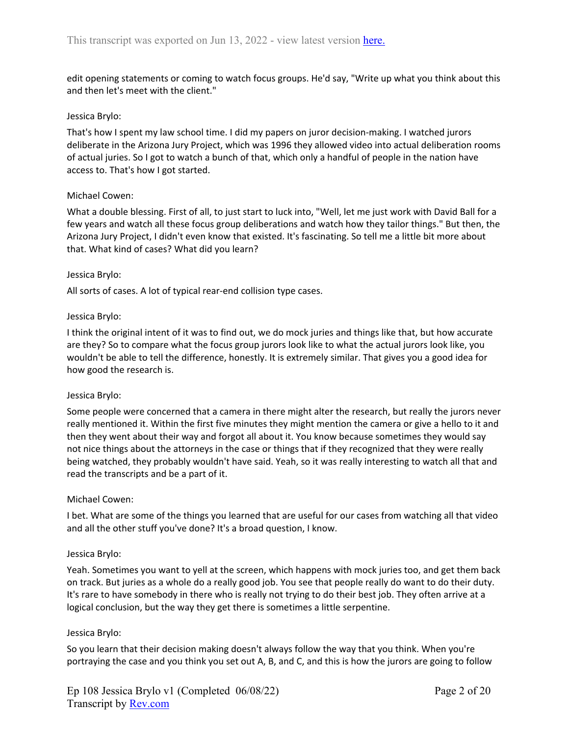edit opening statements or coming to watch focus groups. He'd say, "Write up what you think about this and then let's meet with the client."

## Jessica Brylo:

That's how I spent my law school time. I did my papers on juror decision-making. I watched jurors deliberate in the Arizona Jury Project, which was 1996 they allowed video into actual deliberation rooms of actual juries. So I got to watch a bunch of that, which only a handful of people in the nation have access to. That's how I got started.

## Michael Cowen:

What a double blessing. First of all, to just start to luck into, "Well, let me just work with David Ball for a few years and watch all these focus group deliberations and watch how they tailor things." But then, the Arizona Jury Project, I didn't even know that existed. It's fascinating. So tell me a little bit more about that. What kind of cases? What did you learn?

### Jessica Brylo:

All sorts of cases. A lot of typical rear-end collision type cases.

## Jessica Brylo:

I think the original intent of it was to find out, we do mock juries and things like that, but how accurate are they? So to compare what the focus group jurors look like to what the actual jurors look like, you wouldn't be able to tell the difference, honestly. It is extremely similar. That gives you a good idea for how good the research is.

### Jessica Brylo:

Some people were concerned that a camera in there might alter the research, but really the jurors never really mentioned it. Within the first five minutes they might mention the camera or give a hello to it and then they went about their way and forgot all about it. You know because sometimes they would say not nice things about the attorneys in the case or things that if they recognized that they were really being watched, they probably wouldn't have said. Yeah, so it was really interesting to watch all that and read the transcripts and be a part of it.

### Michael Cowen:

I bet. What are some of the things you learned that are useful for our cases from watching all that video and all the other stuff you've done? It's a broad question, I know.

### Jessica Brylo:

Yeah. Sometimes you want to yell at the screen, which happens with mock juries too, and get them back on track. But juries as a whole do a really good job. You see that people really do want to do their duty. It's rare to have somebody in there who is really not trying to do their best job. They often arrive at a logical conclusion, but the way they get there is sometimes a little serpentine.

### Jessica Brylo:

So you learn that their decision making doesn't always follow the way that you think. When you're portraying the case and you think you set out A, B, and C, and this is how the jurors are going to follow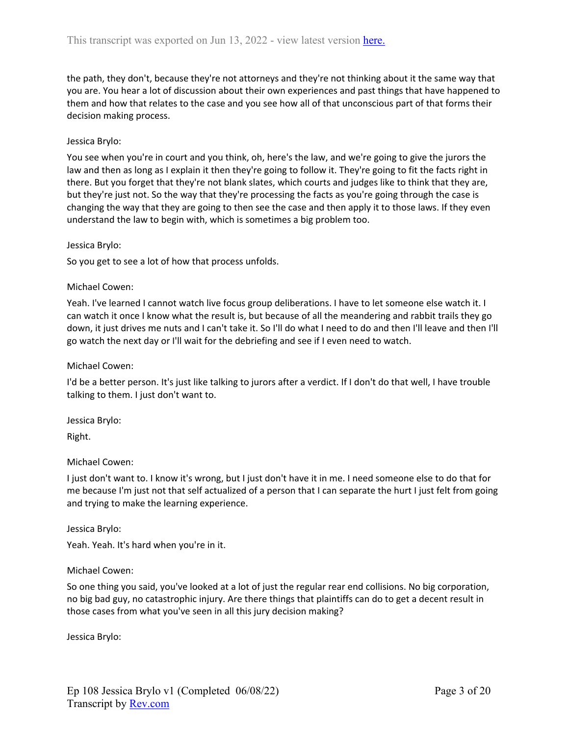the path, they don't, because they're not attorneys and they're not thinking about it the same way that you are. You hear a lot of discussion about their own experiences and past things that have happened to them and how that relates to the case and you see how all of that unconscious part of that forms their decision making process.

### Jessica Brylo:

You see when you're in court and you think, oh, here's the law, and we're going to give the jurors the law and then as long as I explain it then they're going to follow it. They're going to fit the facts right in there. But you forget that they're not blank slates, which courts and judges like to think that they are, but they're just not. So the way that they're processing the facts as you're going through the case is changing the way that they are going to then see the case and then apply it to those laws. If they even understand the law to begin with, which is sometimes a big problem too.

### Jessica Brylo:

So you get to see a lot of how that process unfolds.

## Michael Cowen:

Yeah. I've learned I cannot watch live focus group deliberations. I have to let someone else watch it. I can watch it once I know what the result is, but because of all the meandering and rabbit trails they go down, it just drives me nuts and I can't take it. So I'll do what I need to do and then I'll leave and then I'll go watch the next day or I'll wait for the debriefing and see if I even need to watch.

### Michael Cowen:

I'd be a better person. It's just like talking to jurors after a verdict. If I don't do that well, I have trouble talking to them. I just don't want to.

Jessica Brylo:

Right.

### Michael Cowen:

I just don't want to. I know it's wrong, but I just don't have it in me. I need someone else to do that for me because I'm just not that self actualized of a person that I can separate the hurt I just felt from going and trying to make the learning experience.

### Jessica Brylo:

Yeah. Yeah. It's hard when you're in it.

# Michael Cowen:

So one thing you said, you've looked at a lot of just the regular rear end collisions. No big corporation, no big bad guy, no catastrophic injury. Are there things that plaintiffs can do to get a decent result in those cases from what you've seen in all this jury decision making?

Jessica Brylo: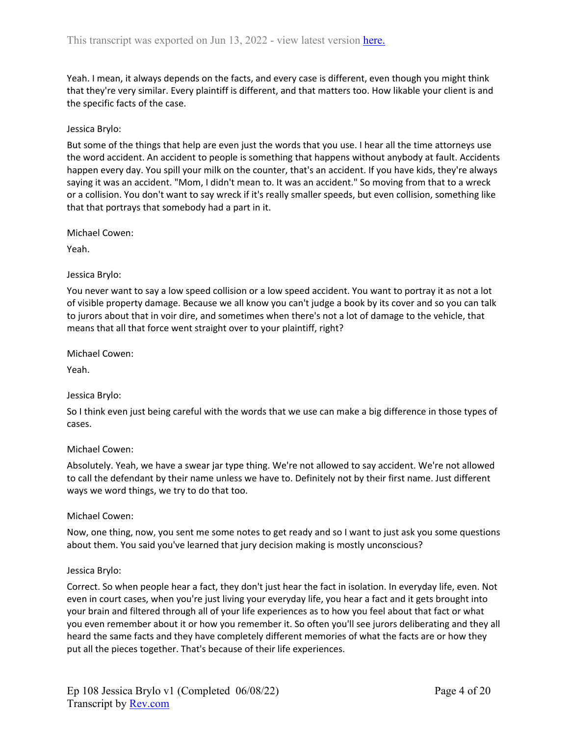Yeah. I mean, it always depends on the facts, and every case is different, even though you might think that they're very similar. Every plaintiff is different, and that matters too. How likable your client is and the specific facts of the case.

# Jessica Brylo:

But some of the things that help are even just the words that you use. I hear all the time attorneys use the word accident. An accident to people is something that happens without anybody at fault. Accidents happen every day. You spill your milk on the counter, that's an accident. If you have kids, they're always saying it was an accident. "Mom, I didn't mean to. It was an accident." So moving from that to a wreck or a collision. You don't want to say wreck if it's really smaller speeds, but even collision, something like that that portrays that somebody had a part in it.

Michael Cowen:

Yeah.

## Jessica Brylo:

You never want to say a low speed collision or a low speed accident. You want to portray it as not a lot of visible property damage. Because we all know you can't judge a book by its cover and so you can talk to jurors about that in voir dire, and sometimes when there's not a lot of damage to the vehicle, that means that all that force went straight over to your plaintiff, right?

Michael Cowen:

Yeah.

# Jessica Brylo:

So I think even just being careful with the words that we use can make a big difference in those types of cases.

### Michael Cowen:

Absolutely. Yeah, we have a swear jar type thing. We're not allowed to say accident. We're not allowed to call the defendant by their name unless we have to. Definitely not by their first name. Just different ways we word things, we try to do that too.

# Michael Cowen:

Now, one thing, now, you sent me some notes to get ready and so I want to just ask you some questions about them. You said you've learned that jury decision making is mostly unconscious?

### Jessica Brylo:

Correct. So when people hear a fact, they don't just hear the fact in isolation. In everyday life, even. Not even in court cases, when you're just living your everyday life, you hear a fact and it gets brought into your brain and filtered through all of your life experiences as to how you feel about that fact or what you even remember about it or how you remember it. So often you'll see jurors deliberating and they all heard the same facts and they have completely different memories of what the facts are or how they put all the pieces together. That's because of their life experiences.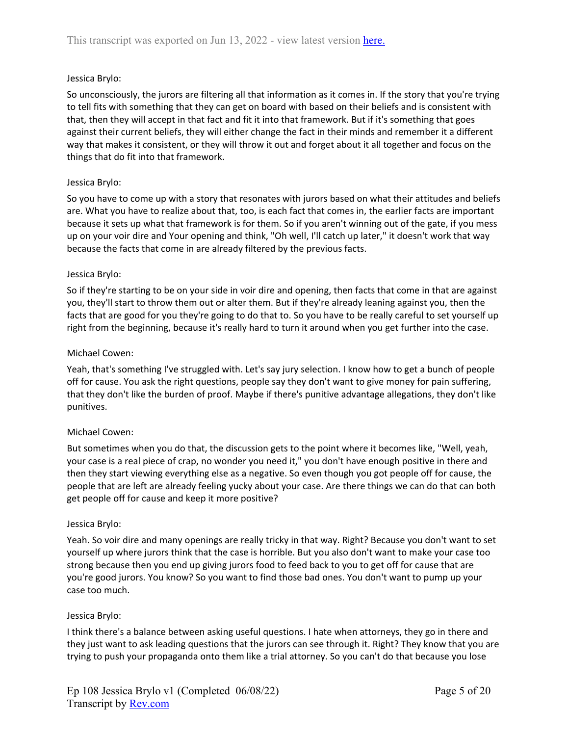# Jessica Brylo:

So unconsciously, the jurors are filtering all that information as it comes in. If the story that you're trying to tell fits with something that they can get on board with based on their beliefs and is consistent with that, then they will accept in that fact and fit it into that framework. But if it's something that goes against their current beliefs, they will either change the fact in their minds and remember it a different way that makes it consistent, or they will throw it out and forget about it all together and focus on the things that do fit into that framework.

# Jessica Brylo:

So you have to come up with a story that resonates with jurors based on what their attitudes and beliefs are. What you have to realize about that, too, is each fact that comes in, the earlier facts are important because it sets up what that framework is for them. So if you aren't winning out of the gate, if you mess up on your voir dire and Your opening and think, "Oh well, I'll catch up later," it doesn't work that way because the facts that come in are already filtered by the previous facts.

## Jessica Brylo:

So if they're starting to be on your side in voir dire and opening, then facts that come in that are against you, they'll start to throw them out or alter them. But if they're already leaning against you, then the facts that are good for you they're going to do that to. So you have to be really careful to set yourself up right from the beginning, because it's really hard to turn it around when you get further into the case.

### Michael Cowen:

Yeah, that's something I've struggled with. Let's say jury selection. I know how to get a bunch of people off for cause. You ask the right questions, people say they don't want to give money for pain suffering, that they don't like the burden of proof. Maybe if there's punitive advantage allegations, they don't like punitives.

# Michael Cowen:

But sometimes when you do that, the discussion gets to the point where it becomes like, "Well, yeah, your case is a real piece of crap, no wonder you need it," you don't have enough positive in there and then they start viewing everything else as a negative. So even though you got people off for cause, the people that are left are already feeling yucky about your case. Are there things we can do that can both get people off for cause and keep it more positive?

### Jessica Brylo:

Yeah. So voir dire and many openings are really tricky in that way. Right? Because you don't want to set yourself up where jurors think that the case is horrible. But you also don't want to make your case too strong because then you end up giving jurors food to feed back to you to get off for cause that are you're good jurors. You know? So you want to find those bad ones. You don't want to pump up your case too much.

### Jessica Brylo:

I think there's a balance between asking useful questions. I hate when attorneys, they go in there and they just want to ask leading questions that the jurors can see through it. Right? They know that you are trying to push your propaganda onto them like a trial attorney. So you can't do that because you lose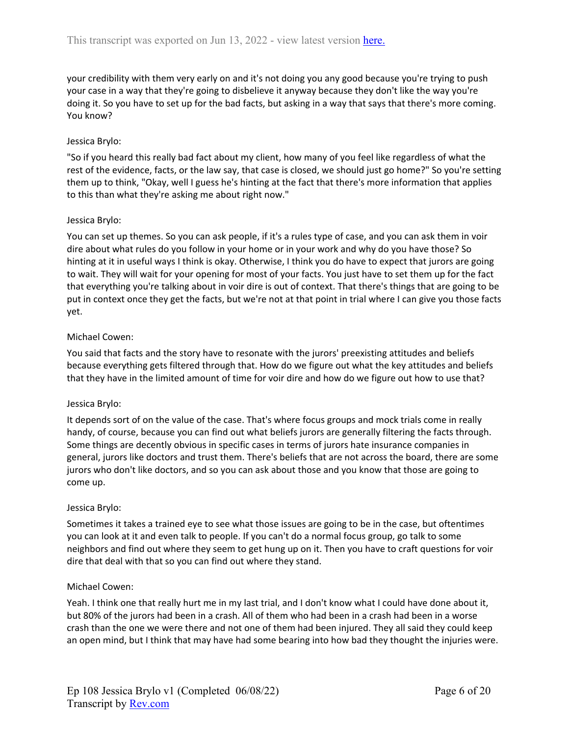your credibility with them very early on and it's not doing you any good because you're trying to push your case in a way that they're going to disbelieve it anyway because they don't like the way you're doing it. So you have to set up for the bad facts, but asking in a way that says that there's more coming. You know?

# Jessica Brylo:

"So if you heard this really bad fact about my client, how many of you feel like regardless of what the rest of the evidence, facts, or the law say, that case is closed, we should just go home?" So you're setting them up to think, "Okay, well I guess he's hinting at the fact that there's more information that applies to this than what they're asking me about right now."

## Jessica Brylo:

You can set up themes. So you can ask people, if it's a rules type of case, and you can ask them in voir dire about what rules do you follow in your home or in your work and why do you have those? So hinting at it in useful ways I think is okay. Otherwise, I think you do have to expect that jurors are going to wait. They will wait for your opening for most of your facts. You just have to set them up for the fact that everything you're talking about in voir dire is out of context. That there's things that are going to be put in context once they get the facts, but we're not at that point in trial where I can give you those facts yet.

## Michael Cowen:

You said that facts and the story have to resonate with the jurors' preexisting attitudes and beliefs because everything gets filtered through that. How do we figure out what the key attitudes and beliefs that they have in the limited amount of time for voir dire and how do we figure out how to use that?

### Jessica Brylo:

It depends sort of on the value of the case. That's where focus groups and mock trials come in really handy, of course, because you can find out what beliefs jurors are generally filtering the facts through. Some things are decently obvious in specific cases in terms of jurors hate insurance companies in general, jurors like doctors and trust them. There's beliefs that are not across the board, there are some jurors who don't like doctors, and so you can ask about those and you know that those are going to come up.

### Jessica Brylo:

Sometimes it takes a trained eye to see what those issues are going to be in the case, but oftentimes you can look at it and even talk to people. If you can't do a normal focus group, go talk to some neighbors and find out where they seem to get hung up on it. Then you have to craft questions for voir dire that deal with that so you can find out where they stand.

### Michael Cowen:

Yeah. I think one that really hurt me in my last trial, and I don't know what I could have done about it, but 80% of the jurors had been in a crash. All of them who had been in a crash had been in a worse crash than the one we were there and not one of them had been injured. They all said they could keep an open mind, but I think that may have had some bearing into how bad they thought the injuries were.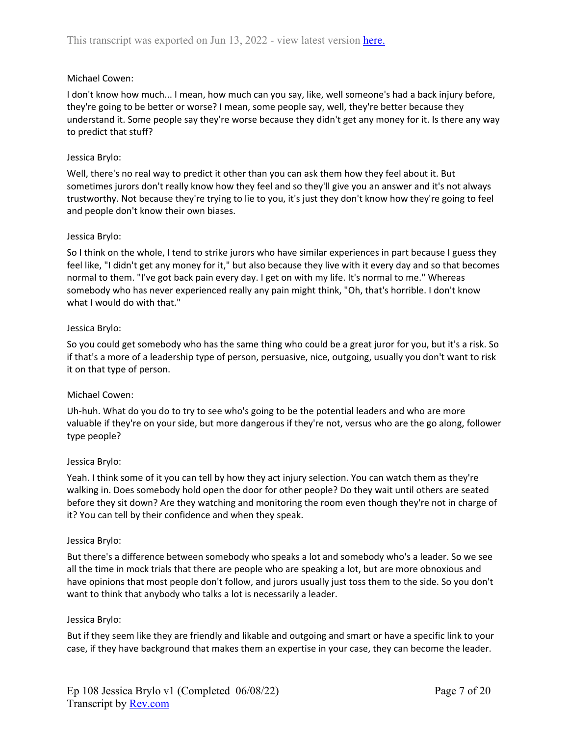# Michael Cowen:

I don't know how much... I mean, how much can you say, like, well someone's had a back injury before, they're going to be better or worse? I mean, some people say, well, they're better because they understand it. Some people say they're worse because they didn't get any money for it. Is there any way to predict that stuff?

### Jessica Brylo:

Well, there's no real way to predict it other than you can ask them how they feel about it. But sometimes jurors don't really know how they feel and so they'll give you an answer and it's not always trustworthy. Not because they're trying to lie to you, it's just they don't know how they're going to feel and people don't know their own biases.

### Jessica Brylo:

So I think on the whole, I tend to strike jurors who have similar experiences in part because I guess they feel like, "I didn't get any money for it," but also because they live with it every day and so that becomes normal to them. "I've got back pain every day. I get on with my life. It's normal to me." Whereas somebody who has never experienced really any pain might think, "Oh, that's horrible. I don't know what I would do with that."

## Jessica Brylo:

So you could get somebody who has the same thing who could be a great juror for you, but it's a risk. So if that's a more of a leadership type of person, persuasive, nice, outgoing, usually you don't want to risk it on that type of person.

# Michael Cowen:

Uh-huh. What do you do to try to see who's going to be the potential leaders and who are more valuable if they're on your side, but more dangerous if they're not, versus who are the go along, follower type people?

### Jessica Brylo:

Yeah. I think some of it you can tell by how they act injury selection. You can watch them as they're walking in. Does somebody hold open the door for other people? Do they wait until others are seated before they sit down? Are they watching and monitoring the room even though they're not in charge of it? You can tell by their confidence and when they speak.

### Jessica Brylo:

But there's a difference between somebody who speaks a lot and somebody who's a leader. So we see all the time in mock trials that there are people who are speaking a lot, but are more obnoxious and have opinions that most people don't follow, and jurors usually just toss them to the side. So you don't want to think that anybody who talks a lot is necessarily a leader.

### Jessica Brylo:

But if they seem like they are friendly and likable and outgoing and smart or have a specific link to your case, if they have background that makes them an expertise in your case, they can become the leader.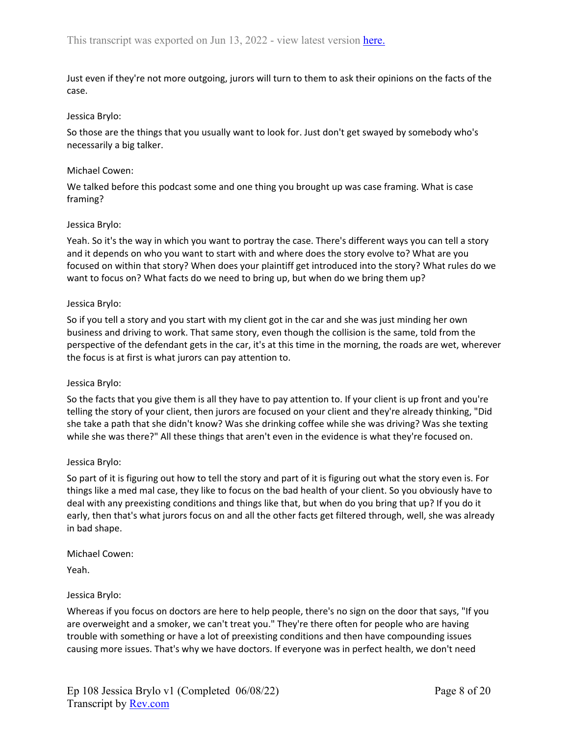Just even if they're not more outgoing, jurors will turn to them to ask their opinions on the facts of the case.

## Jessica Brylo:

So those are the things that you usually want to look for. Just don't get swayed by somebody who's necessarily a big talker.

### Michael Cowen:

We talked before this podcast some and one thing you brought up was case framing. What is case framing?

## Jessica Brylo:

Yeah. So it's the way in which you want to portray the case. There's different ways you can tell a story and it depends on who you want to start with and where does the story evolve to? What are you focused on within that story? When does your plaintiff get introduced into the story? What rules do we want to focus on? What facts do we need to bring up, but when do we bring them up?

## Jessica Brylo:

So if you tell a story and you start with my client got in the car and she was just minding her own business and driving to work. That same story, even though the collision is the same, told from the perspective of the defendant gets in the car, it's at this time in the morning, the roads are wet, wherever the focus is at first is what jurors can pay attention to.

### Jessica Brylo:

So the facts that you give them is all they have to pay attention to. If your client is up front and you're telling the story of your client, then jurors are focused on your client and they're already thinking, "Did she take a path that she didn't know? Was she drinking coffee while she was driving? Was she texting while she was there?" All these things that aren't even in the evidence is what they're focused on.

### Jessica Brylo:

So part of it is figuring out how to tell the story and part of it is figuring out what the story even is. For things like a med mal case, they like to focus on the bad health of your client. So you obviously have to deal with any preexisting conditions and things like that, but when do you bring that up? If you do it early, then that's what jurors focus on and all the other facts get filtered through, well, she was already in bad shape.

Michael Cowen:

Yeah.

# Jessica Brylo:

Whereas if you focus on doctors are here to help people, there's no sign on the door that says, "If you are overweight and a smoker, we can't treat you." They're there often for people who are having trouble with something or have a lot of preexisting conditions and then have compounding issues causing more issues. That's why we have doctors. If everyone was in perfect health, we don't need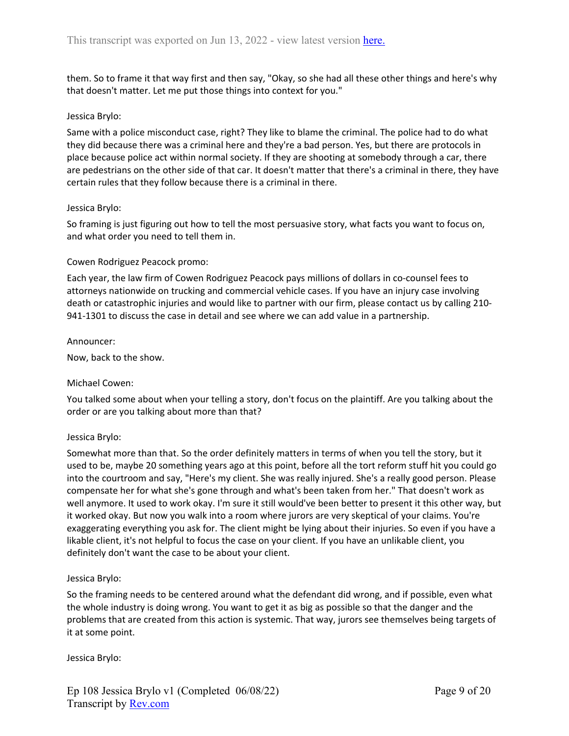them. So to frame it that way first and then say, "Okay, so she had all these other things and here's why that doesn't matter. Let me put those things into context for you."

## Jessica Brylo:

Same with a police misconduct case, right? They like to blame the criminal. The police had to do what they did because there was a criminal here and they're a bad person. Yes, but there are protocols in place because police act within normal society. If they are shooting at somebody through a car, there are pedestrians on the other side of that car. It doesn't matter that there's a criminal in there, they have certain rules that they follow because there is a criminal in there.

### Jessica Brylo:

So framing is just figuring out how to tell the most persuasive story, what facts you want to focus on, and what order you need to tell them in.

## Cowen Rodriguez Peacock promo:

Each year, the law firm of Cowen Rodriguez Peacock pays millions of dollars in co-counsel fees to attorneys nationwide on trucking and commercial vehicle cases. If you have an injury case involving death or catastrophic injuries and would like to partner with our firm, please contact us by calling 210- 941-1301 to discuss the case in detail and see where we can add value in a partnership.

### Announcer:

Now, back to the show.

### Michael Cowen:

You talked some about when your telling a story, don't focus on the plaintiff. Are you talking about the order or are you talking about more than that?

### Jessica Brylo:

Somewhat more than that. So the order definitely matters in terms of when you tell the story, but it used to be, maybe 20 something years ago at this point, before all the tort reform stuff hit you could go into the courtroom and say, "Here's my client. She was really injured. She's a really good person. Please compensate her for what she's gone through and what's been taken from her." That doesn't work as well anymore. It used to work okay. I'm sure it still would've been better to present it this other way, but it worked okay. But now you walk into a room where jurors are very skeptical of your claims. You're exaggerating everything you ask for. The client might be lying about their injuries. So even if you have a likable client, it's not helpful to focus the case on your client. If you have an unlikable client, you definitely don't want the case to be about your client.

### Jessica Brylo:

So the framing needs to be centered around what the defendant did wrong, and if possible, even what the whole industry is doing wrong. You want to get it as big as possible so that the danger and the problems that are created from this action is systemic. That way, jurors see themselves being targets of it at some point.

### Jessica Brylo: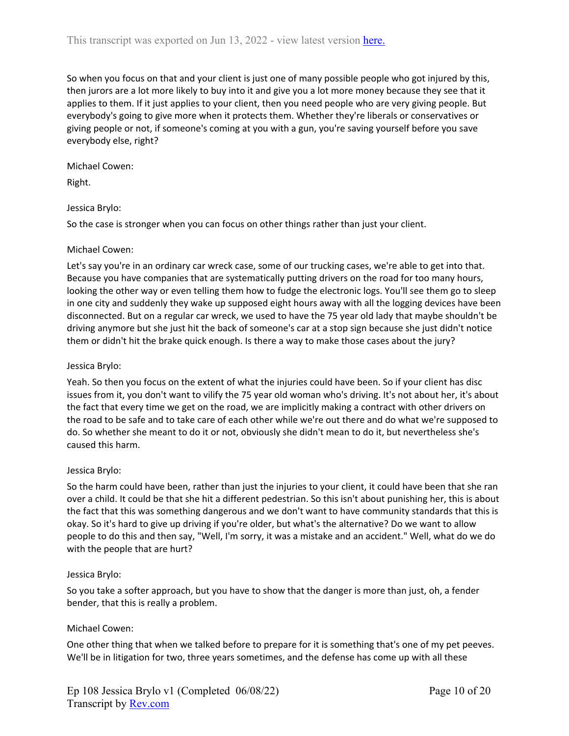So when you focus on that and your client is just one of many possible people who got injured by this, then jurors are a lot more likely to buy into it and give you a lot more money because they see that it applies to them. If it just applies to your client, then you need people who are very giving people. But everybody's going to give more when it protects them. Whether they're liberals or conservatives or giving people or not, if someone's coming at you with a gun, you're saving yourself before you save everybody else, right?

Michael Cowen:

Right.

# Jessica Brylo:

So the case is stronger when you can focus on other things rather than just your client.

## Michael Cowen:

Let's say you're in an ordinary car wreck case, some of our trucking cases, we're able to get into that. Because you have companies that are systematically putting drivers on the road for too many hours, looking the other way or even telling them how to fudge the electronic logs. You'll see them go to sleep in one city and suddenly they wake up supposed eight hours away with all the logging devices have been disconnected. But on a regular car wreck, we used to have the 75 year old lady that maybe shouldn't be driving anymore but she just hit the back of someone's car at a stop sign because she just didn't notice them or didn't hit the brake quick enough. Is there a way to make those cases about the jury?

### Jessica Brylo:

Yeah. So then you focus on the extent of what the injuries could have been. So if your client has disc issues from it, you don't want to vilify the 75 year old woman who's driving. It's not about her, it's about the fact that every time we get on the road, we are implicitly making a contract with other drivers on the road to be safe and to take care of each other while we're out there and do what we're supposed to do. So whether she meant to do it or not, obviously she didn't mean to do it, but nevertheless she's caused this harm.

### Jessica Brylo:

So the harm could have been, rather than just the injuries to your client, it could have been that she ran over a child. It could be that she hit a different pedestrian. So this isn't about punishing her, this is about the fact that this was something dangerous and we don't want to have community standards that this is okay. So it's hard to give up driving if you're older, but what's the alternative? Do we want to allow people to do this and then say, "Well, I'm sorry, it was a mistake and an accident." Well, what do we do with the people that are hurt?

### Jessica Brylo:

So you take a softer approach, but you have to show that the danger is more than just, oh, a fender bender, that this is really a problem.

# Michael Cowen:

One other thing that when we talked before to prepare for it is something that's one of my pet peeves. We'll be in litigation for two, three years sometimes, and the defense has come up with all these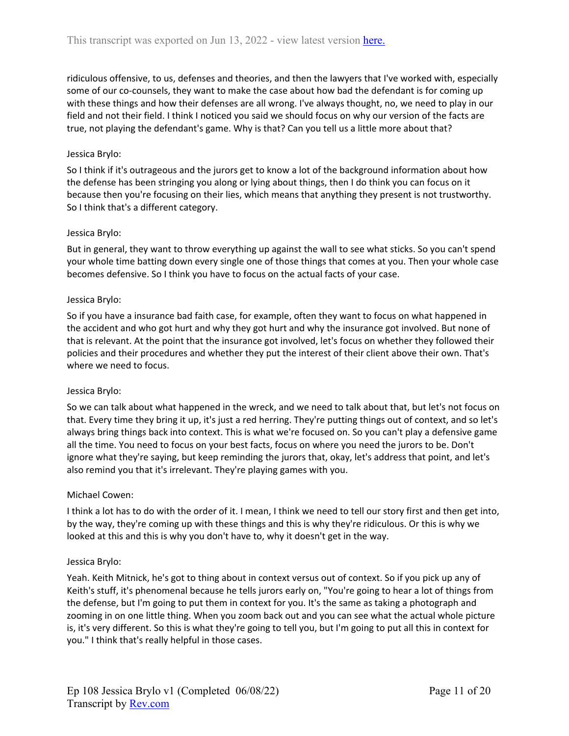ridiculous offensive, to us, defenses and theories, and then the lawyers that I've worked with, especially some of our co-counsels, they want to make the case about how bad the defendant is for coming up with these things and how their defenses are all wrong. I've always thought, no, we need to play in our field and not their field. I think I noticed you said we should focus on why our version of the facts are true, not playing the defendant's game. Why is that? Can you tell us a little more about that?

# Jessica Brylo:

So I think if it's outrageous and the jurors get to know a lot of the background information about how the defense has been stringing you along or lying about things, then I do think you can focus on it because then you're focusing on their lies, which means that anything they present is not trustworthy. So I think that's a different category.

## Jessica Brylo:

But in general, they want to throw everything up against the wall to see what sticks. So you can't spend your whole time batting down every single one of those things that comes at you. Then your whole case becomes defensive. So I think you have to focus on the actual facts of your case.

### Jessica Brylo:

So if you have a insurance bad faith case, for example, often they want to focus on what happened in the accident and who got hurt and why they got hurt and why the insurance got involved. But none of that is relevant. At the point that the insurance got involved, let's focus on whether they followed their policies and their procedures and whether they put the interest of their client above their own. That's where we need to focus.

### Jessica Brylo:

So we can talk about what happened in the wreck, and we need to talk about that, but let's not focus on that. Every time they bring it up, it's just a red herring. They're putting things out of context, and so let's always bring things back into context. This is what we're focused on. So you can't play a defensive game all the time. You need to focus on your best facts, focus on where you need the jurors to be. Don't ignore what they're saying, but keep reminding the jurors that, okay, let's address that point, and let's also remind you that it's irrelevant. They're playing games with you.

### Michael Cowen:

I think a lot has to do with the order of it. I mean, I think we need to tell our story first and then get into, by the way, they're coming up with these things and this is why they're ridiculous. Or this is why we looked at this and this is why you don't have to, why it doesn't get in the way.

### Jessica Brylo:

Yeah. Keith Mitnick, he's got to thing about in context versus out of context. So if you pick up any of Keith's stuff, it's phenomenal because he tells jurors early on, "You're going to hear a lot of things from the defense, but I'm going to put them in context for you. It's the same as taking a photograph and zooming in on one little thing. When you zoom back out and you can see what the actual whole picture is, it's very different. So this is what they're going to tell you, but I'm going to put all this in context for you." I think that's really helpful in those cases.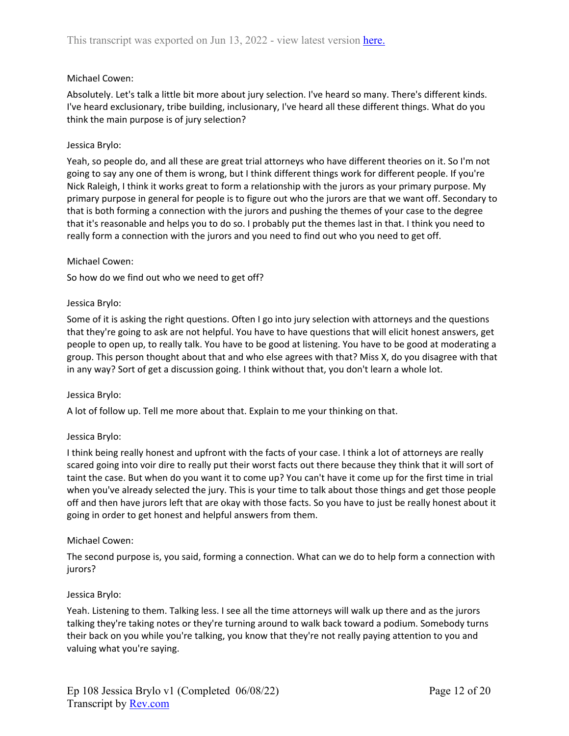# Michael Cowen:

Absolutely. Let's talk a little bit more about jury selection. I've heard so many. There's different kinds. I've heard exclusionary, tribe building, inclusionary, I've heard all these different things. What do you think the main purpose is of jury selection?

### Jessica Brylo:

Yeah, so people do, and all these are great trial attorneys who have different theories on it. So I'm not going to say any one of them is wrong, but I think different things work for different people. If you're Nick Raleigh, I think it works great to form a relationship with the jurors as your primary purpose. My primary purpose in general for people is to figure out who the jurors are that we want off. Secondary to that is both forming a connection with the jurors and pushing the themes of your case to the degree that it's reasonable and helps you to do so. I probably put the themes last in that. I think you need to really form a connection with the jurors and you need to find out who you need to get off.

### Michael Cowen:

So how do we find out who we need to get off?

#### Jessica Brylo:

Some of it is asking the right questions. Often I go into jury selection with attorneys and the questions that they're going to ask are not helpful. You have to have questions that will elicit honest answers, get people to open up, to really talk. You have to be good at listening. You have to be good at moderating a group. This person thought about that and who else agrees with that? Miss X, do you disagree with that in any way? Sort of get a discussion going. I think without that, you don't learn a whole lot.

### Jessica Brylo:

A lot of follow up. Tell me more about that. Explain to me your thinking on that.

### Jessica Brylo:

I think being really honest and upfront with the facts of your case. I think a lot of attorneys are really scared going into voir dire to really put their worst facts out there because they think that it will sort of taint the case. But when do you want it to come up? You can't have it come up for the first time in trial when you've already selected the jury. This is your time to talk about those things and get those people off and then have jurors left that are okay with those facts. So you have to just be really honest about it going in order to get honest and helpful answers from them.

### Michael Cowen:

The second purpose is, you said, forming a connection. What can we do to help form a connection with jurors?

### Jessica Brylo:

Yeah. Listening to them. Talking less. I see all the time attorneys will walk up there and as the jurors talking they're taking notes or they're turning around to walk back toward a podium. Somebody turns their back on you while you're talking, you know that they're not really paying attention to you and valuing what you're saying.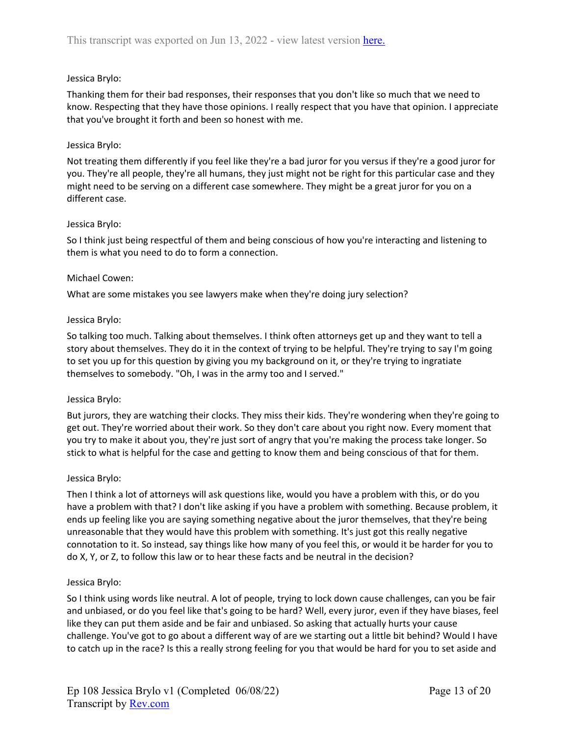# Jessica Brylo:

Thanking them for their bad responses, their responses that you don't like so much that we need to know. Respecting that they have those opinions. I really respect that you have that opinion. I appreciate that you've brought it forth and been so honest with me.

# Jessica Brylo:

Not treating them differently if you feel like they're a bad juror for you versus if they're a good juror for you. They're all people, they're all humans, they just might not be right for this particular case and they might need to be serving on a different case somewhere. They might be a great juror for you on a different case.

## Jessica Brylo:

So I think just being respectful of them and being conscious of how you're interacting and listening to them is what you need to do to form a connection.

## Michael Cowen:

What are some mistakes you see lawyers make when they're doing jury selection?

## Jessica Brylo:

So talking too much. Talking about themselves. I think often attorneys get up and they want to tell a story about themselves. They do it in the context of trying to be helpful. They're trying to say I'm going to set you up for this question by giving you my background on it, or they're trying to ingratiate themselves to somebody. "Oh, I was in the army too and I served."

### Jessica Brylo:

But jurors, they are watching their clocks. They miss their kids. They're wondering when they're going to get out. They're worried about their work. So they don't care about you right now. Every moment that you try to make it about you, they're just sort of angry that you're making the process take longer. So stick to what is helpful for the case and getting to know them and being conscious of that for them.

### Jessica Brylo:

Then I think a lot of attorneys will ask questions like, would you have a problem with this, or do you have a problem with that? I don't like asking if you have a problem with something. Because problem, it ends up feeling like you are saying something negative about the juror themselves, that they're being unreasonable that they would have this problem with something. It's just got this really negative connotation to it. So instead, say things like how many of you feel this, or would it be harder for you to do X, Y, or Z, to follow this law or to hear these facts and be neutral in the decision?

### Jessica Brylo:

So I think using words like neutral. A lot of people, trying to lock down cause challenges, can you be fair and unbiased, or do you feel like that's going to be hard? Well, every juror, even if they have biases, feel like they can put them aside and be fair and unbiased. So asking that actually hurts your cause challenge. You've got to go about a different way of are we starting out a little bit behind? Would I have to catch up in the race? Is this a really strong feeling for you that would be hard for you to set aside and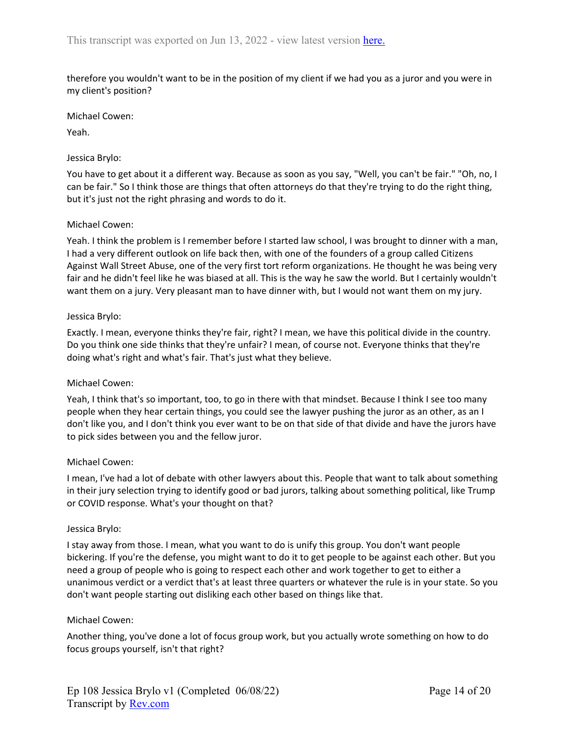therefore you wouldn't want to be in the position of my client if we had you as a juror and you were in my client's position?

Michael Cowen:

Yeah.

#### Jessica Brylo:

You have to get about it a different way. Because as soon as you say, "Well, you can't be fair." "Oh, no, I can be fair." So I think those are things that often attorneys do that they're trying to do the right thing, but it's just not the right phrasing and words to do it.

### Michael Cowen:

Yeah. I think the problem is I remember before I started law school, I was brought to dinner with a man, I had a very different outlook on life back then, with one of the founders of a group called Citizens Against Wall Street Abuse, one of the very first tort reform organizations. He thought he was being very fair and he didn't feel like he was biased at all. This is the way he saw the world. But I certainly wouldn't want them on a jury. Very pleasant man to have dinner with, but I would not want them on my jury.

#### Jessica Brylo:

Exactly. I mean, everyone thinks they're fair, right? I mean, we have this political divide in the country. Do you think one side thinks that they're unfair? I mean, of course not. Everyone thinks that they're doing what's right and what's fair. That's just what they believe.

### Michael Cowen:

Yeah, I think that's so important, too, to go in there with that mindset. Because I think I see too many people when they hear certain things, you could see the lawyer pushing the juror as an other, as an I don't like you, and I don't think you ever want to be on that side of that divide and have the jurors have to pick sides between you and the fellow juror.

### Michael Cowen:

I mean, I've had a lot of debate with other lawyers about this. People that want to talk about something in their jury selection trying to identify good or bad jurors, talking about something political, like Trump or COVID response. What's your thought on that?

#### Jessica Brylo:

I stay away from those. I mean, what you want to do is unify this group. You don't want people bickering. If you're the defense, you might want to do it to get people to be against each other. But you need a group of people who is going to respect each other and work together to get to either a unanimous verdict or a verdict that's at least three quarters or whatever the rule is in your state. So you don't want people starting out disliking each other based on things like that.

### Michael Cowen:

Another thing, you've done a lot of focus group work, but you actually wrote something on how to do focus groups yourself, isn't that right?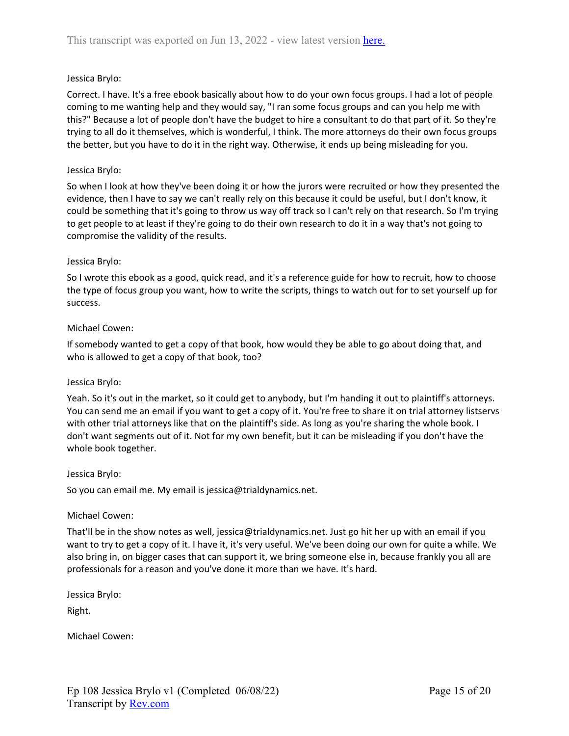# Jessica Brylo:

Correct. I have. It's a free ebook basically about how to do your own focus groups. I had a lot of people coming to me wanting help and they would say, "I ran some focus groups and can you help me with this?" Because a lot of people don't have the budget to hire a consultant to do that part of it. So they're trying to all do it themselves, which is wonderful, I think. The more attorneys do their own focus groups the better, but you have to do it in the right way. Otherwise, it ends up being misleading for you.

### Jessica Brylo:

So when I look at how they've been doing it or how the jurors were recruited or how they presented the evidence, then I have to say we can't really rely on this because it could be useful, but I don't know, it could be something that it's going to throw us way off track so I can't rely on that research. So I'm trying to get people to at least if they're going to do their own research to do it in a way that's not going to compromise the validity of the results.

### Jessica Brylo:

So I wrote this ebook as a good, quick read, and it's a reference guide for how to recruit, how to choose the type of focus group you want, how to write the scripts, things to watch out for to set yourself up for success.

### Michael Cowen:

If somebody wanted to get a copy of that book, how would they be able to go about doing that, and who is allowed to get a copy of that book, too?

### Jessica Brylo:

Yeah. So it's out in the market, so it could get to anybody, but I'm handing it out to plaintiff's attorneys. You can send me an email if you want to get a copy of it. You're free to share it on trial attorney listservs with other trial attorneys like that on the plaintiff's side. As long as you're sharing the whole book. I don't want segments out of it. Not for my own benefit, but it can be misleading if you don't have the whole book together.

### Jessica Brylo:

So you can email me. My email is jessica@trialdynamics.net.

### Michael Cowen:

That'll be in the show notes as well, jessica@trialdynamics.net. Just go hit her up with an email if you want to try to get a copy of it. I have it, it's very useful. We've been doing our own for quite a while. We also bring in, on bigger cases that can support it, we bring someone else in, because frankly you all are professionals for a reason and you've done it more than we have. It's hard.

Jessica Brylo:

Right.

Michael Cowen: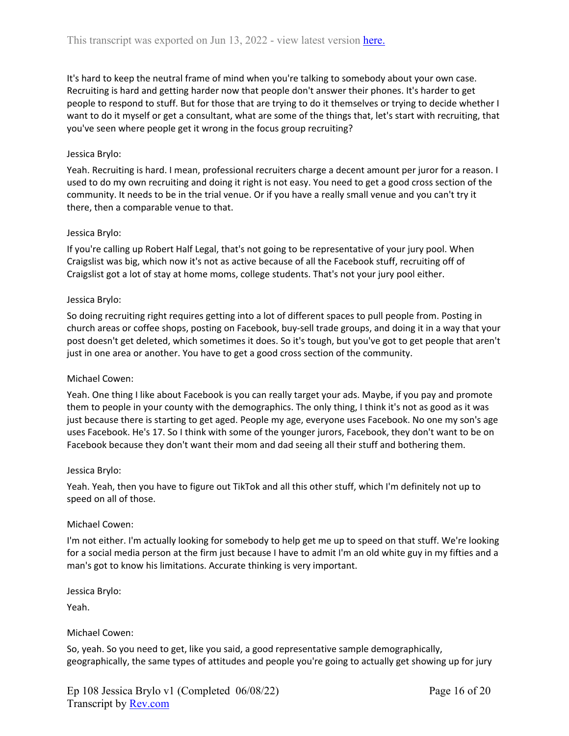It's hard to keep the neutral frame of mind when you're talking to somebody about your own case. Recruiting is hard and getting harder now that people don't answer their phones. It's harder to get people to respond to stuff. But for those that are trying to do it themselves or trying to decide whether I want to do it myself or get a consultant, what are some of the things that, let's start with recruiting, that you've seen where people get it wrong in the focus group recruiting?

# Jessica Brylo:

Yeah. Recruiting is hard. I mean, professional recruiters charge a decent amount per juror for a reason. I used to do my own recruiting and doing it right is not easy. You need to get a good cross section of the community. It needs to be in the trial venue. Or if you have a really small venue and you can't try it there, then a comparable venue to that.

## Jessica Brylo:

If you're calling up Robert Half Legal, that's not going to be representative of your jury pool. When Craigslist was big, which now it's not as active because of all the Facebook stuff, recruiting off of Craigslist got a lot of stay at home moms, college students. That's not your jury pool either.

### Jessica Brylo:

So doing recruiting right requires getting into a lot of different spaces to pull people from. Posting in church areas or coffee shops, posting on Facebook, buy-sell trade groups, and doing it in a way that your post doesn't get deleted, which sometimes it does. So it's tough, but you've got to get people that aren't just in one area or another. You have to get a good cross section of the community.

### Michael Cowen:

Yeah. One thing I like about Facebook is you can really target your ads. Maybe, if you pay and promote them to people in your county with the demographics. The only thing, I think it's not as good as it was just because there is starting to get aged. People my age, everyone uses Facebook. No one my son's age uses Facebook. He's 17. So I think with some of the younger jurors, Facebook, they don't want to be on Facebook because they don't want their mom and dad seeing all their stuff and bothering them.

### Jessica Brylo:

Yeah. Yeah, then you have to figure out TikTok and all this other stuff, which I'm definitely not up to speed on all of those.

### Michael Cowen:

I'm not either. I'm actually looking for somebody to help get me up to speed on that stuff. We're looking for a social media person at the firm just because I have to admit I'm an old white guy in my fifties and a man's got to know his limitations. Accurate thinking is very important.

Jessica Brylo:

Yeah.

### Michael Cowen:

So, yeah. So you need to get, like you said, a good representative sample demographically, geographically, the same types of attitudes and people you're going to actually get showing up for jury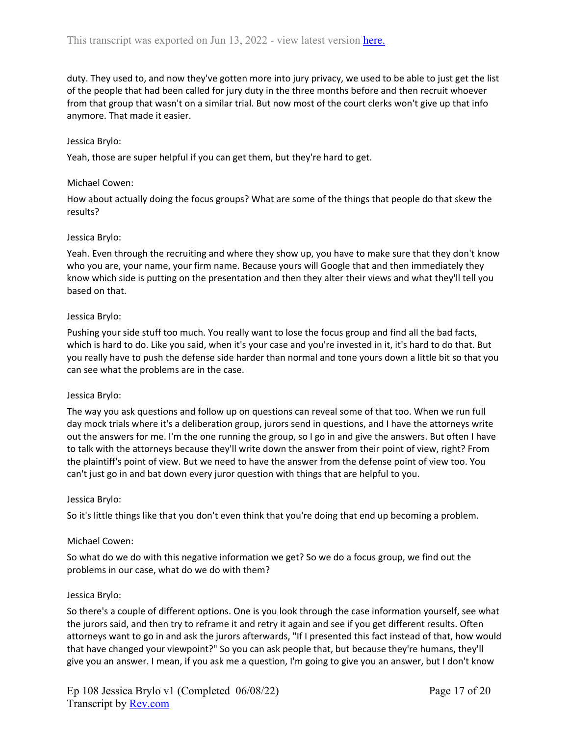duty. They used to, and now they've gotten more into jury privacy, we used to be able to just get the list of the people that had been called for jury duty in the three months before and then recruit whoever from that group that wasn't on a similar trial. But now most of the court clerks won't give up that info anymore. That made it easier.

### Jessica Brylo:

Yeah, those are super helpful if you can get them, but they're hard to get.

#### Michael Cowen:

How about actually doing the focus groups? What are some of the things that people do that skew the results?

### Jessica Brylo:

Yeah. Even through the recruiting and where they show up, you have to make sure that they don't know who you are, your name, your firm name. Because yours will Google that and then immediately they know which side is putting on the presentation and then they alter their views and what they'll tell you based on that.

#### Jessica Brylo:

Pushing your side stuff too much. You really want to lose the focus group and find all the bad facts, which is hard to do. Like you said, when it's your case and you're invested in it, it's hard to do that. But you really have to push the defense side harder than normal and tone yours down a little bit so that you can see what the problems are in the case.

#### Jessica Brylo:

The way you ask questions and follow up on questions can reveal some of that too. When we run full day mock trials where it's a deliberation group, jurors send in questions, and I have the attorneys write out the answers for me. I'm the one running the group, so I go in and give the answers. But often I have to talk with the attorneys because they'll write down the answer from their point of view, right? From the plaintiff's point of view. But we need to have the answer from the defense point of view too. You can't just go in and bat down every juror question with things that are helpful to you.

#### Jessica Brylo:

So it's little things like that you don't even think that you're doing that end up becoming a problem.

#### Michael Cowen:

So what do we do with this negative information we get? So we do a focus group, we find out the problems in our case, what do we do with them?

#### Jessica Brylo:

So there's a couple of different options. One is you look through the case information yourself, see what the jurors said, and then try to reframe it and retry it again and see if you get different results. Often attorneys want to go in and ask the jurors afterwards, "If I presented this fact instead of that, how would that have changed your viewpoint?" So you can ask people that, but because they're humans, they'll give you an answer. I mean, if you ask me a question, I'm going to give you an answer, but I don't know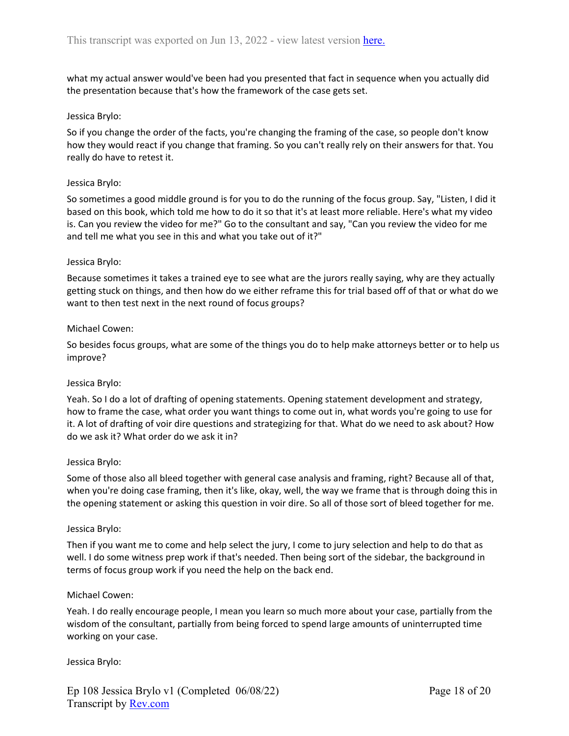what my actual answer would've been had you presented that fact in sequence when you actually did the presentation because that's how the framework of the case gets set.

## Jessica Brylo:

So if you change the order of the facts, you're changing the framing of the case, so people don't know how they would react if you change that framing. So you can't really rely on their answers for that. You really do have to retest it.

## Jessica Brylo:

So sometimes a good middle ground is for you to do the running of the focus group. Say, "Listen, I did it based on this book, which told me how to do it so that it's at least more reliable. Here's what my video is. Can you review the video for me?" Go to the consultant and say, "Can you review the video for me and tell me what you see in this and what you take out of it?"

### Jessica Brylo:

Because sometimes it takes a trained eye to see what are the jurors really saying, why are they actually getting stuck on things, and then how do we either reframe this for trial based off of that or what do we want to then test next in the next round of focus groups?

## Michael Cowen:

So besides focus groups, what are some of the things you do to help make attorneys better or to help us improve?

### Jessica Brylo:

Yeah. So I do a lot of drafting of opening statements. Opening statement development and strategy, how to frame the case, what order you want things to come out in, what words you're going to use for it. A lot of drafting of voir dire questions and strategizing for that. What do we need to ask about? How do we ask it? What order do we ask it in?

### Jessica Brylo:

Some of those also all bleed together with general case analysis and framing, right? Because all of that, when you're doing case framing, then it's like, okay, well, the way we frame that is through doing this in the opening statement or asking this question in voir dire. So all of those sort of bleed together for me.

### Jessica Brylo:

Then if you want me to come and help select the jury, I come to jury selection and help to do that as well. I do some witness prep work if that's needed. Then being sort of the sidebar, the background in terms of focus group work if you need the help on the back end.

### Michael Cowen:

Yeah. I do really encourage people, I mean you learn so much more about your case, partially from the wisdom of the consultant, partially from being forced to spend large amounts of uninterrupted time working on your case.

### Jessica Brylo: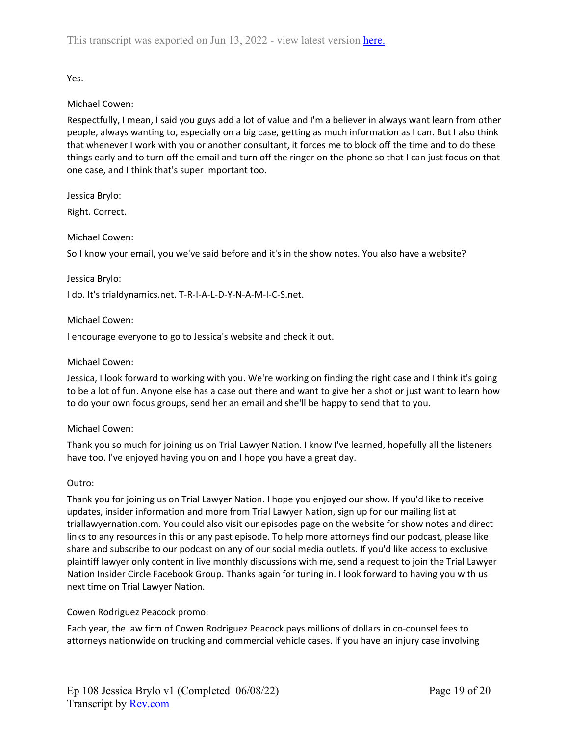Yes.

# Michael Cowen:

Respectfully, I mean, I said you guys add a lot of value and I'm a believer in always want learn from other people, always wanting to, especially on a big case, getting as much information as I can. But I also think that whenever I work with you or another consultant, it forces me to block off the time and to do these things early and to turn off the email and turn off the ringer on the phone so that I can just focus on that one case, and I think that's super important too.

Jessica Brylo:

Right. Correct.

# Michael Cowen:

So I know your email, you we've said before and it's in the show notes. You also have a website?

## Jessica Brylo:

I do. It's trialdynamics.net. T-R-I-A-L-D-Y-N-A-M-I-C-S.net.

## Michael Cowen:

I encourage everyone to go to Jessica's website and check it out.

## Michael Cowen:

Jessica, I look forward to working with you. We're working on finding the right case and I think it's going to be a lot of fun. Anyone else has a case out there and want to give her a shot or just want to learn how to do your own focus groups, send her an email and she'll be happy to send that to you.

# Michael Cowen:

Thank you so much for joining us on Trial Lawyer Nation. I know I've learned, hopefully all the listeners have too. I've enjoyed having you on and I hope you have a great day.

# Outro:

Thank you for joining us on Trial Lawyer Nation. I hope you enjoyed our show. If you'd like to receive updates, insider information and more from Trial Lawyer Nation, sign up for our mailing list at triallawyernation.com. You could also visit our episodes page on the website for show notes and direct links to any resources in this or any past episode. To help more attorneys find our podcast, please like share and subscribe to our podcast on any of our social media outlets. If you'd like access to exclusive plaintiff lawyer only content in live monthly discussions with me, send a request to join the Trial Lawyer Nation Insider Circle Facebook Group. Thanks again for tuning in. I look forward to having you with us next time on Trial Lawyer Nation.

# Cowen Rodriguez Peacock promo:

Each year, the law firm of Cowen Rodriguez Peacock pays millions of dollars in co-counsel fees to attorneys nationwide on trucking and commercial vehicle cases. If you have an injury case involving